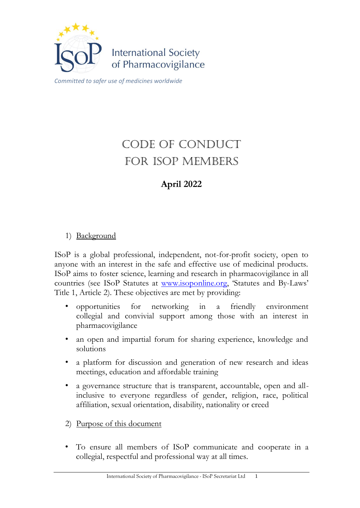

# CODE OF CONDUCT FOR ISOP MEMBERS

# **April 2022**

## 1) Background

ISoP is a global professional, independent, not-for-profit society, open to anyone with an interest in the safe and effective use of medicinal products. ISoP aims to foster science, learning and research in pharmacovigilance in all countries (see ISoP Statutes at [www.isoponline.org,](http://www.isoponline.org/) 'Statutes and By-Laws' Title 1, Article 2). These objectives are met by providing:

- opportunities for networking in a friendly environment collegial and convivial support among those with an interest in pharmacovigilance
- an open and impartial forum for sharing experience, knowledge and solutions
- a platform for discussion and generation of new research and ideas meetings, education and affordable training
- a governance structure that is transparent, accountable, open and allinclusive to everyone regardless of gender, religion, race, political affiliation, sexual orientation, disability, nationality or creed
- 2) <u>Purpose of this document</u>
- To ensure all members of ISoP communicate and cooperate in a collegial, respectful and professional way at all times.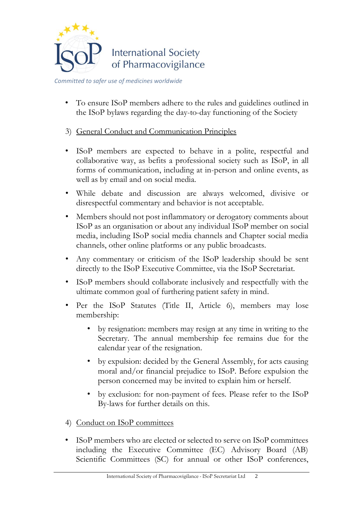

• To ensure ISoP members adhere to the rules and guidelines outlined in the ISoP bylaws regarding the day-to-day functioning of the Society

### 3) General Conduct and Communication Principles

- ISoP members are expected to behave in a polite, respectful and collaborative way, as befits a professional society such as ISoP, in all forms of communication, including at in-person and online events, as well as by email and on social media.
- While debate and discussion are always welcomed, divisive or disrespectful commentary and behavior is not acceptable.
- Members should not post inflammatory or derogatory comments about ISoP as an organisation or about any individual ISoP member on social media, including ISoP social media channels and Chapter social media channels, other online platforms or any public broadcasts.
- Any commentary or criticism of the ISoP leadership should be sent directly to the ISoP Executive Committee, via the ISoP Secretariat.
- ISoP members should collaborate inclusively and respectfully with the ultimate common goal of furthering patient safety in mind.
- Per the ISoP Statutes (Title II, Article 6), members may lose membership:
	- by resignation: members may resign at any time in writing to the Secretary. The annual membership fee remains due for the calendar year of the resignation.
	- by expulsion: decided by the General Assembly, for acts causing moral and/or financial prejudice to ISoP. Before expulsion the person concerned may be invited to explain him or herself.
	- by exclusion: for non-payment of fees. Please refer to the ISoP By-laws for further details on this.
- 4) Conduct on ISoP committees
- ISoP members who are elected or selected to serve on ISoP committees including the Executive Committee (EC) Advisory Board (AB) Scientific Committees (SC) for annual or other ISoP conferences,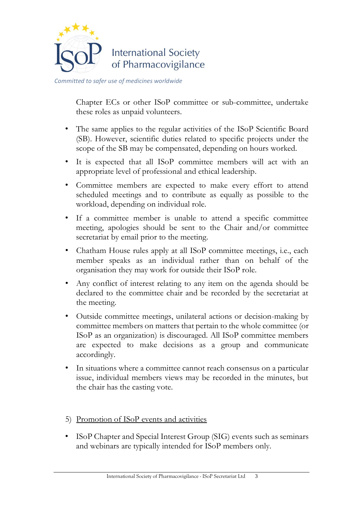

Chapter ECs or other ISoP committee or sub-committee, undertake these roles as unpaid volunteers.

- The same applies to the regular activities of the ISoP Scientific Board (SB). However, scientific duties related to specific projects under the scope of the SB may be compensated, depending on hours worked.
- It is expected that all ISoP committee members will act with an appropriate level of professional and ethical leadership.
- Committee members are expected to make every effort to attend scheduled meetings and to contribute as equally as possible to the workload, depending on individual role.
- If a committee member is unable to attend a specific committee meeting, apologies should be sent to the Chair and/or committee secretariat by email prior to the meeting.
- Chatham House rules apply at all ISoP committee meetings, i.e., each member speaks as an individual rather than on behalf of the organisation they may work for outside their ISoP role.
- Any conflict of interest relating to any item on the agenda should be declared to the committee chair and be recorded by the secretariat at the meeting.
- Outside committee meetings, unilateral actions or decision-making by committee members on matters that pertain to the whole committee (or ISoP as an organization) is discouraged. All ISoP committee members are expected to make decisions as a group and communicate accordingly.
- In situations where a committee cannot reach consensus on a particular issue, individual members views may be recorded in the minutes, but the chair has the casting vote.
- 5) Promotion of ISoP events and activities
- ISoP Chapter and Special Interest Group (SIG) events such as seminars and webinars are typically intended for ISoP members only.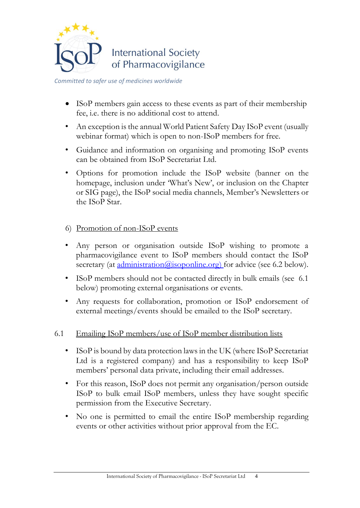

*Committed to safer use of medicines worldwide*

- ISoP members gain access to these events as part of their membership fee, i.e. there is no additional cost to attend.
- An exception is the annual World Patient Safety Day ISoP event (usually webinar format) which is open to non-ISoP members for free.
- Guidance and information on organising and promoting ISoP events can be obtained from ISoP Secretariat Ltd.
- Options for promotion include the ISoP website (banner on the homepage, inclusion under 'What's New', or inclusion on the Chapter or SIG page), the ISoP social media channels, Member's Newsletters or the ISoP Star.
- 6) Promotion of non-ISoP events
- Any person or organisation outside ISoP wishing to promote a pharmacovigilance event to ISoP members should contact the ISoP secretary (at [administration@isoponline.org\)](mailto:administration@isoponline.org) for advice (see 6.2 below).
- ISoP members should not be contacted directly in bulk emails (see 6.1) below) promoting external organisations or events.
- Any requests for collaboration, promotion or ISoP endorsement of external meetings/events should be emailed to the ISoP secretary.
- 6.1 Emailing ISoP members/use of ISoP member distribution lists
	- ISoP is bound by data protection laws in the UK (where ISoP Secretariat Ltd is a registered company) and has a responsibility to keep ISoP members' personal data private, including their email addresses.
	- For this reason, ISoP does not permit any organisation/person outside ISoP to bulk email ISoP members, unless they have sought specific permission from the Executive Secretary.
	- No one is permitted to email the entire ISoP membership regarding events or other activities without prior approval from the EC.